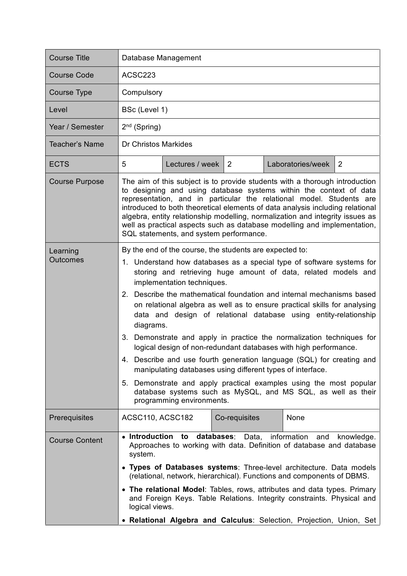|                                                                                                                                                                                                                                                                                                                                                                                                                                                                                                                                                                                                                                                                                                                                                                                                                                                                     |               |                  |                                  | ACSC223                                                                                                                         |  |  |  |
|---------------------------------------------------------------------------------------------------------------------------------------------------------------------------------------------------------------------------------------------------------------------------------------------------------------------------------------------------------------------------------------------------------------------------------------------------------------------------------------------------------------------------------------------------------------------------------------------------------------------------------------------------------------------------------------------------------------------------------------------------------------------------------------------------------------------------------------------------------------------|---------------|------------------|----------------------------------|---------------------------------------------------------------------------------------------------------------------------------|--|--|--|
|                                                                                                                                                                                                                                                                                                                                                                                                                                                                                                                                                                                                                                                                                                                                                                                                                                                                     | Compulsory    |                  |                                  |                                                                                                                                 |  |  |  |
|                                                                                                                                                                                                                                                                                                                                                                                                                                                                                                                                                                                                                                                                                                                                                                                                                                                                     | BSc (Level 1) |                  |                                  |                                                                                                                                 |  |  |  |
| $2nd$ (Spring)                                                                                                                                                                                                                                                                                                                                                                                                                                                                                                                                                                                                                                                                                                                                                                                                                                                      |               |                  |                                  |                                                                                                                                 |  |  |  |
| <b>Dr Christos Markides</b>                                                                                                                                                                                                                                                                                                                                                                                                                                                                                                                                                                                                                                                                                                                                                                                                                                         |               |                  |                                  |                                                                                                                                 |  |  |  |
| 5                                                                                                                                                                                                                                                                                                                                                                                                                                                                                                                                                                                                                                                                                                                                                                                                                                                                   |               | 2                | Laboratories/week                | 2                                                                                                                               |  |  |  |
| The aim of this subject is to provide students with a thorough introduction<br>to designing and using database systems within the context of data<br>representation, and in particular the relational model. Students are<br>introduced to both theoretical elements of data analysis including relational<br>algebra, entity relationship modelling, normalization and integrity issues as<br>well as practical aspects such as database modelling and implementation,<br>SQL statements, and system performance.                                                                                                                                                                                                                                                                                                                                                  |               |                  |                                  |                                                                                                                                 |  |  |  |
| 1. Understand how databases as a special type of software systems for<br>storing and retrieving huge amount of data, related models and<br>implementation techniques.<br>2. Describe the mathematical foundation and internal mechanisms based<br>on relational algebra as well as to ensure practical skills for analysing<br>data and design of relational database using entity-relationship<br>diagrams.<br>3. Demonstrate and apply in practice the normalization techniques for<br>logical design of non-redundant databases with high performance.<br>4. Describe and use fourth generation language (SQL) for creating and<br>manipulating databases using different types of interface.<br>5. Demonstrate and apply practical examples using the most popular<br>database systems such as MySQL, and MS SQL, as well as their<br>programming environments. |               |                  |                                  |                                                                                                                                 |  |  |  |
|                                                                                                                                                                                                                                                                                                                                                                                                                                                                                                                                                                                                                                                                                                                                                                                                                                                                     |               |                  | None                             |                                                                                                                                 |  |  |  |
| • Introduction<br>databases:<br>information and<br>Data,<br>to<br>knowledge.<br>Approaches to working with data. Definition of database and database<br>system.<br>• Types of Databases systems: Three-level architecture. Data models<br>(relational, network, hierarchical). Functions and components of DBMS.<br>• The relational Model: Tables, rows, attributes and data types. Primary<br>and Foreign Keys. Table Relations. Integrity constraints. Physical and<br>logical views.                                                                                                                                                                                                                                                                                                                                                                            |               |                  |                                  |                                                                                                                                 |  |  |  |
|                                                                                                                                                                                                                                                                                                                                                                                                                                                                                                                                                                                                                                                                                                                                                                                                                                                                     |               | ACSC110, ACSC182 | Lectures / week<br>Co-requisites | By the end of the course, the students are expected to:<br>• Relational Algebra and Calculus: Selection, Projection, Union, Set |  |  |  |